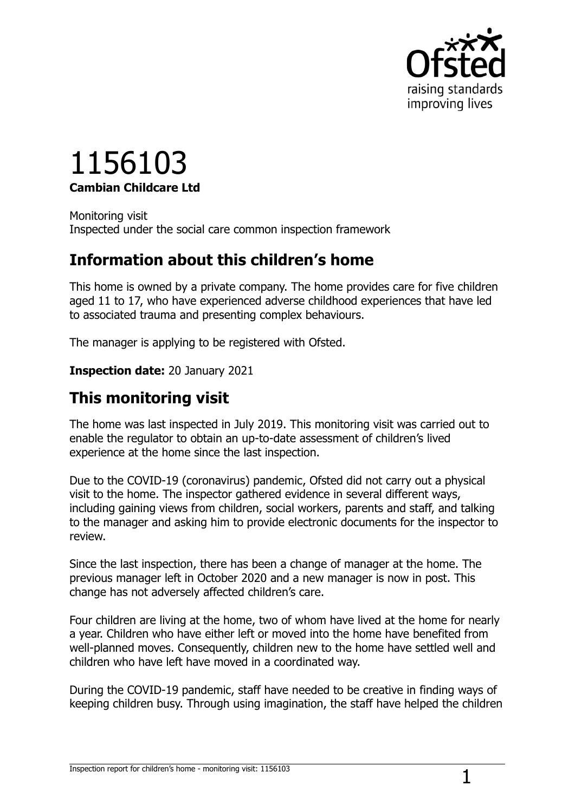

# 1156103 **Cambian Childcare Ltd**

Monitoring visit Inspected under the social care common inspection framework

# **Information about this children's home**

This home is owned by a private company. The home provides care for five children aged 11 to 17, who have experienced adverse childhood experiences that have led to associated trauma and presenting complex behaviours.

The manager is applying to be registered with Ofsted.

**Inspection date:** 20 January 2021

# **This monitoring visit**

The home was last inspected in July 2019. This monitoring visit was carried out to enable the regulator to obtain an up-to-date assessment of children's lived experience at the home since the last inspection.

Due to the COVID-19 (coronavirus) pandemic, Ofsted did not carry out a physical visit to the home. The inspector gathered evidence in several different ways, including gaining views from children, social workers, parents and staff, and talking to the manager and asking him to provide electronic documents for the inspector to review.

Since the last inspection, there has been a change of manager at the home. The previous manager left in October 2020 and a new manager is now in post. This change has not adversely affected children's care.

Four children are living at the home, two of whom have lived at the home for nearly a year. Children who have either left or moved into the home have benefited from well-planned moves. Consequently, children new to the home have settled well and children who have left have moved in a coordinated way.

During the COVID-19 pandemic, staff have needed to be creative in finding ways of keeping children busy. Through using imagination, the staff have helped the children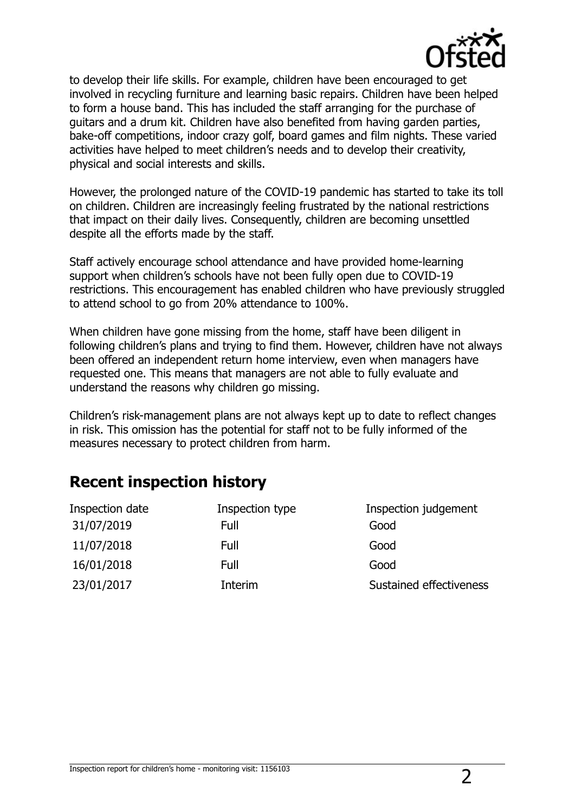

to develop their life skills. For example, children have been encouraged to get involved in recycling furniture and learning basic repairs. Children have been helped to form a house band. This has included the staff arranging for the purchase of guitars and a drum kit. Children have also benefited from having garden parties, bake-off competitions, indoor crazy golf, board games and film nights. These varied activities have helped to meet children's needs and to develop their creativity, physical and social interests and skills.

However, the prolonged nature of the COVID-19 pandemic has started to take its toll on children. Children are increasingly feeling frustrated by the national restrictions that impact on their daily lives. Consequently, children are becoming unsettled despite all the efforts made by the staff.

Staff actively encourage school attendance and have provided home-learning support when children's schools have not been fully open due to COVID-19 restrictions. This encouragement has enabled children who have previously struggled to attend school to go from 20% attendance to 100%.

When children have gone missing from the home, staff have been diligent in following children's plans and trying to find them. However, children have not always been offered an independent return home interview, even when managers have requested one. This means that managers are not able to fully evaluate and understand the reasons why children go missing.

Children's risk-management plans are not always kept up to date to reflect changes in risk. This omission has the potential for staff not to be fully informed of the measures necessary to protect children from harm.

# **Recent inspection history**

| Inspection type | Inspection judgement    |
|-----------------|-------------------------|
| Full            | Good                    |
| Full            | Good                    |
| Full            | Good                    |
| Interim         | Sustained effectiveness |
|                 |                         |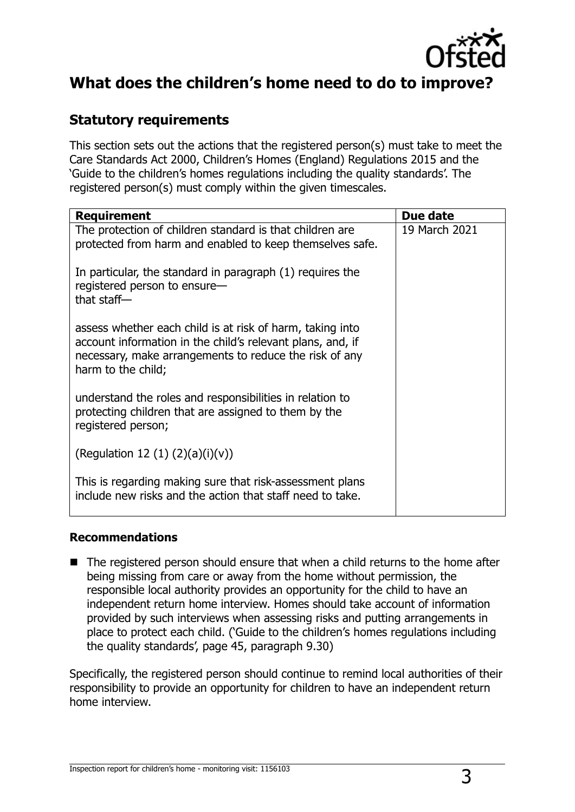

## **What does the children's home need to do to improve?**

### **Statutory requirements**

This section sets out the actions that the registered person(s) must take to meet the Care Standards Act 2000, Children's Homes (England) Regulations 2015 and the 'Guide to the children's homes regulations including the quality standards'. The registered person(s) must comply within the given timescales.

| <b>Requirement</b>                                                                                                                                                                                      | Due date      |
|---------------------------------------------------------------------------------------------------------------------------------------------------------------------------------------------------------|---------------|
| The protection of children standard is that children are<br>protected from harm and enabled to keep themselves safe.                                                                                    | 19 March 2021 |
| In particular, the standard in paragraph (1) requires the<br>registered person to ensure-<br>that staff $-$                                                                                             |               |
| assess whether each child is at risk of harm, taking into<br>account information in the child's relevant plans, and, if<br>necessary, make arrangements to reduce the risk of any<br>harm to the child; |               |
| understand the roles and responsibilities in relation to<br>protecting children that are assigned to them by the<br>registered person;                                                                  |               |
| (Regulation 12 (1) $(2)(a)(i)(v)$ )                                                                                                                                                                     |               |
| This is regarding making sure that risk-assessment plans<br>include new risks and the action that staff need to take.                                                                                   |               |

#### **Recommendations**

■ The registered person should ensure that when a child returns to the home after being missing from care or away from the home without permission, the responsible local authority provides an opportunity for the child to have an independent return home interview. Homes should take account of information provided by such interviews when assessing risks and putting arrangements in place to protect each child. ('Guide to the children's homes regulations including the quality standards', page 45, paragraph 9.30)

Specifically, the registered person should continue to remind local authorities of their responsibility to provide an opportunity for children to have an independent return home interview.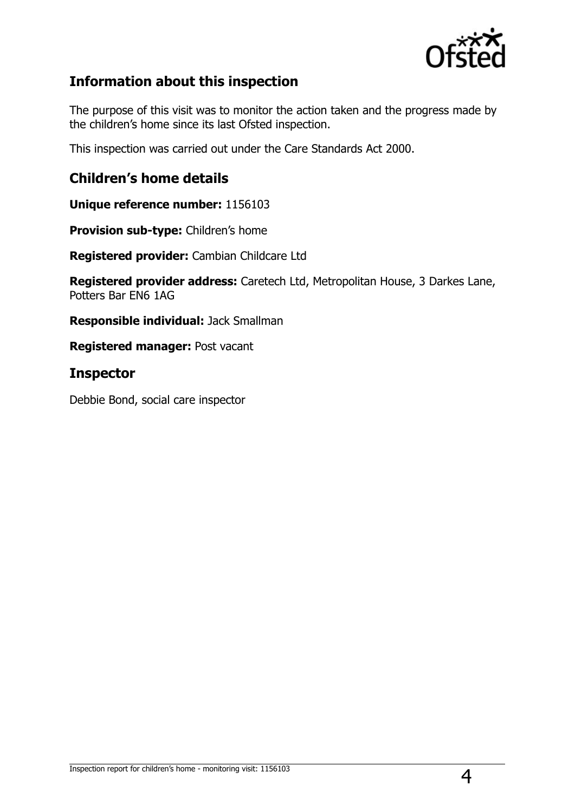

### **Information about this inspection**

The purpose of this visit was to monitor the action taken and the progress made by the children's home since its last Ofsted inspection.

This inspection was carried out under the Care Standards Act 2000.

#### **Children's home details**

**Unique reference number:** 1156103

**Provision sub-type:** Children's home

**Registered provider:** Cambian Childcare Ltd

**Registered provider address:** Caretech Ltd, Metropolitan House, 3 Darkes Lane, Potters Bar EN6 1AG

**Responsible individual:** Jack Smallman

**Registered manager:** Post vacant

#### **Inspector**

Debbie Bond, social care inspector